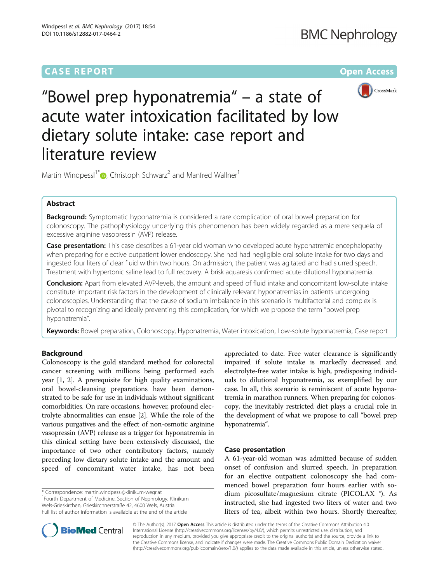# **CASE REPORT CASE ACCESS**



"Bowel prep hyponatremia" – a state of acute water intoxication facilitated by low dietary solute intake: case report and literature review

Martin Windpessl<sup>1\*</sup> $\bullet$ , Christoph Schwarz<sup>2</sup> and Manfred Wallner<sup>1</sup>

## Abstract

Background: Symptomatic hyponatremia is considered a rare complication of oral bowel preparation for colonoscopy. The pathophysiology underlying this phenomenon has been widely regarded as a mere sequela of excessive arginine vasopressin (AVP) release.

**Case presentation:** This case describes a 61-year old woman who developed acute hyponatremic encephalopathy when preparing for elective outpatient lower endoscopy. She had had negligible oral solute intake for two days and ingested four liters of clear fluid within two hours. On admission, the patient was agitated and had slurred speech. Treatment with hypertonic saline lead to full recovery. A brisk aquaresis confirmed acute dilutional hyponatremia.

**Conclusion:** Apart from elevated AVP-levels, the amount and speed of fluid intake and concomitant low-solute intake constitute important risk factors in the development of clinically relevant hyponatremias in patients undergoing colonoscopies. Understanding that the cause of sodium imbalance in this scenario is multifactorial and complex is pivotal to recognizing and ideally preventing this complication, for which we propose the term "bowel prep hyponatremia".

Keywords: Bowel preparation, Colonoscopy, Hyponatremia, Water intoxication, Low-solute hyponatremia, Case report

## Background

Colonoscopy is the gold standard method for colorectal cancer screening with millions being performed each year [\[1](#page-3-0), [2](#page-4-0)]. A prerequisite for high quality examinations, oral bowel-cleansing preparations have been demonstrated to be safe for use in individuals without significant comorbidities. On rare occasions, however, profound electrolyte abnormalities can ensue [\[2](#page-4-0)]. While the role of the various purgatives and the effect of non-osmotic arginine vasopressin (AVP) release as a trigger for hyponatremia in this clinical setting have been extensively discussed, the importance of two other contributory factors, namely preceding low dietary solute intake and the amount and speed of concomitant water intake, has not been

\* Correspondence: [martin.windpessl@klinikum-wegr.at](mailto:martin.windpessl@klinikum-wegr.at) <sup>1</sup>

<sup>1</sup>Fourth Department of Medicine, Section of Nephrology, Klinikum Wels-Grieskirchen, Grieskirchnerstraße 42, 4600 Wels, Austria Full list of author information is available at the end of the article

appreciated to date. Free water clearance is significantly impaired if solute intake is markedly decreased and electrolyte-free water intake is high, predisposing individuals to dilutional hyponatremia, as exemplified by our case. In all, this scenario is reminiscent of acute hyponatremia in marathon runners. When preparing for colonoscopy, the inevitably restricted diet plays a crucial role in the development of what we propose to call "bowel prep hyponatremia".

## Case presentation

A 61-year-old woman was admitted because of sudden onset of confusion and slurred speech. In preparation for an elective outpatient colonoscopy she had commenced bowel preparation four hours earlier with sodium picosulfate/magnesium citrate (PICOLAX ®). As instructed, she had ingested two liters of water and two liters of tea, albeit within two hours. Shortly thereafter,



© The Author(s). 2017 Open Access This article is distributed under the terms of the Creative Commons Attribution 4.0 International License [\(http://creativecommons.org/licenses/by/4.0/](http://creativecommons.org/licenses/by/4.0/)), which permits unrestricted use, distribution, and reproduction in any medium, provided you give appropriate credit to the original author(s) and the source, provide a link to the Creative Commons license, and indicate if changes were made. The Creative Commons Public Domain Dedication waiver [\(http://creativecommons.org/publicdomain/zero/1.0/](http://creativecommons.org/publicdomain/zero/1.0/)) applies to the data made available in this article, unless otherwise stated.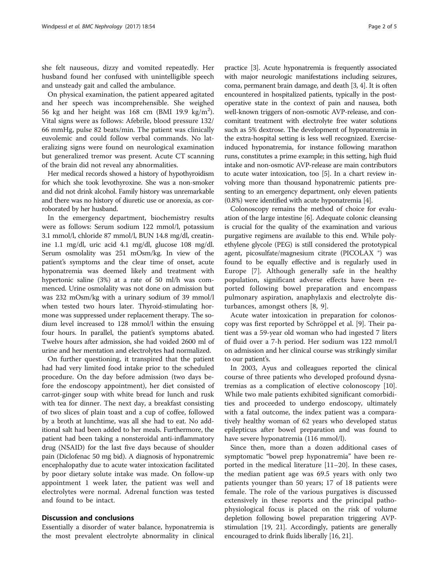she felt nauseous, dizzy and vomited repeatedly. Her husband found her confused with unintelligible speech and unsteady gait and called the ambulance.

On physical examination, the patient appeared agitated and her speech was incomprehensible. She weighed 56 kg and her height was  $168$  cm (BMI 19.9 kg/m<sup>2</sup>). Vital signs were as follows: Afebrile, blood pressure 132/ 66 mmHg, pulse 82 beats/min. The patient was clinically euvolemic and could follow verbal commands. No lateralizing signs were found on neurological examination but generalized tremor was present. Acute CT scanning of the brain did not reveal any abnormalities.

Her medical records showed a history of hypothyroidism for which she took levothyroxine. She was a non-smoker and did not drink alcohol. Family history was unremarkable and there was no history of diuretic use or anorexia, as corroborated by her husband.

In the emergency department, biochemistry results were as follows: Serum sodium 122 mmol/l, potassium 3.1 mmol/l, chloride 87 mmol/l, BUN 14.8 mg/dl, creatinine 1.1 mg/dl, uric acid 4.1 mg/dl, glucose 108 mg/dl. Serum osmolality was 251 mOsm/kg. In view of the patient's symptoms and the clear time of onset, acute hyponatremia was deemed likely and treatment with hypertonic saline (3%) at a rate of 50 ml/h was commenced. Urine osmolality was not done on admission but was 232 mOsm/kg with a urinary sodium of 39 mmol/l when tested two hours later. Thyroid-stimulating hormone was suppressed under replacement therapy. The sodium level increased to 128 mmol/l within the ensuing four hours. In parallel, the patient's symptoms abated. Twelve hours after admission, she had voided 2600 ml of urine and her mentation and electrolytes had normalized.

On further questioning, it transpired that the patient had had very limited food intake prior to the scheduled procedure. On the day before admission (two days before the endoscopy appointment), her diet consisted of carrot-ginger soup with white bread for lunch and rusk with tea for dinner. The next day, a breakfast consisting of two slices of plain toast and a cup of coffee, followed by a broth at lunchtime, was all she had to eat. No additional salt had been added to her meals. Furthermore, the patient had been taking a nonsteroidal anti-inflammatory drug (NSAID) for the last five days because of shoulder pain (Diclofenac 50 mg bid). A diagnosis of hyponatremic encephalopathy due to acute water intoxication facilitated by poor dietary solute intake was made. On follow-up appointment 1 week later, the patient was well and electrolytes were normal. Adrenal function was tested and found to be intact.

## Discussion and conclusions

Essentially a disorder of water balance, hyponatremia is the most prevalent electrolyte abnormality in clinical

practice [\[3\]](#page-4-0). Acute hyponatremia is frequently associated with major neurologic manifestations including seizures, coma, permanent brain damage, and death [\[3, 4](#page-4-0)]. It is often encountered in hospitalized patients, typically in the postoperative state in the context of pain and nausea, both well-known triggers of non-osmotic AVP-release, and concomitant treatment with electrolyte free water solutions such as 5% dextrose. The development of hyponatremia in the extra-hospital setting is less well recognized. Exerciseinduced hyponatremia, for instance following marathon runs, constitutes a prime example; in this setting, high fluid intake and non-osmotic AVP-release are main contributors to acute water intoxication, too [[5](#page-4-0)]. In a chart review involving more than thousand hyponatremic patients presenting to an emergency department, only eleven patients (0.8%) were identified with acute hyponatremia [\[4\]](#page-4-0).

Colonoscopy remains the method of choice for evaluation of the large intestine [[6\]](#page-4-0). Adequate colonic cleansing is crucial for the quality of the examination and various purgative regimens are available to this end. While polyethylene glycole (PEG) is still considered the prototypical agent, picosulfate/magnesium citrate (PICOLAX ®) was found to be equally effective and is regularly used in Europe [\[7](#page-4-0)]. Although generally safe in the healthy population, significant adverse effects have been reported following bowel preparation and encompass pulmonary aspiration, anaphylaxis and electrolyte disturbances, amongst others [[8](#page-4-0), [9](#page-4-0)].

Acute water intoxication in preparation for colonoscopy was first reported by Schröppel et al. [\[9](#page-4-0)]. Their patient was a 59-year old woman who had ingested 7 liters of fluid over a 7-h period. Her sodium was 122 mmol/l on admission and her clinical course was strikingly similar to our patient's.

In 2003, Ayus and colleagues reported the clinical course of three patients who developed profound dysnatremias as a complication of elective colonoscopy [\[10](#page-4-0)]. While two male patients exhibited significant comorbidities and proceeded to undergo endoscopy, ultimately with a fatal outcome, the index patient was a comparatively healthy woman of 62 years who developed status epilepticus after bowel preparation and was found to have severe hyponatremia (116 mmol/l).

Since then, more than a dozen additional cases of symptomatic "bowel prep hyponatremia" have been reported in the medical literature [\[11](#page-4-0)–[20\]](#page-4-0). In these cases, the median patient age was 69.5 years with only two patients younger than 50 years; 17 of 18 patients were female. The role of the various purgatives is discussed extensively in these reports and the principal pathophysiological focus is placed on the risk of volume depletion following bowel preparation triggering AVPstimulation [[19, 21](#page-4-0)]. Accordingly, patients are generally encouraged to drink fluids liberally [[16](#page-4-0), [21\]](#page-4-0).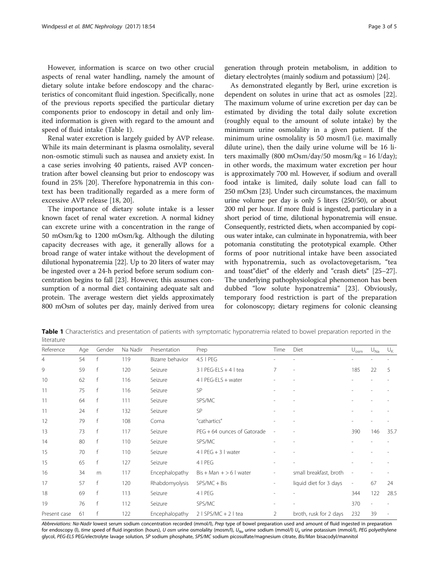However, information is scarce on two other crucial aspects of renal water handling, namely the amount of dietary solute intake before endoscopy and the characteristics of concomitant fluid ingestion. Specifically, none of the previous reports specified the particular dietary components prior to endoscopy in detail and only limited information is given with regard to the amount and speed of fluid intake (Table 1).

Renal water excretion is largely guided by AVP release. While its main determinant is plasma osmolality, several non-osmotic stimuli such as nausea and anxiety exist. In a case series involving 40 patients, raised AVP concentration after bowel cleansing but prior to endoscopy was found in 25% [\[20](#page-4-0)]. Therefore hyponatremia in this context has been traditionally regarded as a mere form of excessive AVP release [[18, 20\]](#page-4-0).

The importance of dietary solute intake is a lesser known facet of renal water excretion. A normal kidney can excrete urine with a concentration in the range of 50 mOsm/kg to 1200 mOsm/kg. Although the diluting capacity decreases with age, it generally allows for a broad range of water intake without the development of dilutional hyponatremia [[22](#page-4-0)]. Up to 20 liters of water may be ingested over a 24-h period before serum sodium concentration begins to fall [\[23](#page-4-0)]. However, this assumes consumption of a normal diet containing adequate salt and protein. The average western diet yields approximately 800 mOsm of solutes per day, mainly derived from urea generation through protein metabolism, in addition to dietary electrolytes (mainly sodium and potassium) [\[24\]](#page-4-0).

As demonstrated elegantly by Berl, urine excretion is dependent on solutes in urine that act as osmoles [\[22](#page-4-0)]. The maximum volume of urine excretion per day can be estimated by dividing the total daily solute excretion (roughly equal to the amount of solute intake) by the minimum urine osmolality in a given patient. If the minimum urine osmolality is 50 mosm/l (i.e. maximally dilute urine), then the daily urine volume will be 16 liters maximally (800 mOsm/day/50 mosm/kg =  $16$  l/day); in other words, the maximum water excretion per hour is approximately 700 ml. However, if sodium and overall food intake is limited, daily solute load can fall to 250 mOsm [\[23](#page-4-0)]. Under such circumstances, the maximum urine volume per day is only 5 liters (250/50), or about 200 ml per hour. If more fluid is ingested, particulary in a short period of time, dilutional hyponatremia will ensue. Consequently, restricted diets, when accompanied by copious water intake, can culminate in hyponatremia, with beer potomania constituting the prototypical example. Other forms of poor nutritional intake have been associated with hyponatremia, such as ovolactovegetarism, "tea and toast"diet" of the elderly and "crash diets" [\[25](#page-4-0)–[27](#page-4-0)]. The underlying pathophysiological phenomenon has been dubbed "low solute hyponatremia" [[23\]](#page-4-0). Obviously, temporary food restriction is part of the preparation for colonoscopy; dietary regimens for colonic cleansing

Table 1 Characteristics and presentation of patients with symptomatic hyponatremia related to bowel preparation reported in the literature

| Age | Gender       | Na Nadir | Presentation     | Prep                        | Time           | Diet                   | $U_{\text{osm}}$         | $U_{\text{Na}}$ | $U_{K}$ |
|-----|--------------|----------|------------------|-----------------------------|----------------|------------------------|--------------------------|-----------------|---------|
| 54  |              | 119      | Bizarre behavior | 4.5   PEG                   |                |                        |                          |                 |         |
| 59  |              | 120      | Seizure          | $3$   PEG-ELS + 4   tea     | 7              | ۰                      | 185                      | 22              | 5       |
| 62  |              | 116      | Seizure          | $4$   PEG-ELS + water       |                |                        |                          |                 |         |
| 75  | $\mathsf{f}$ | 116      | Seizure          | SP                          |                |                        | $\overline{\phantom{a}}$ |                 |         |
| 64  | $\mathsf{f}$ | 111      | Seizure          | SPS/MC                      |                |                        | $\overline{\phantom{a}}$ |                 |         |
| 24  |              | 132      | Seizure          | SP                          |                |                        | $\overline{\phantom{a}}$ |                 |         |
| 79  | $\mathsf{f}$ | 108      | Coma             | "cathartics"                |                |                        |                          |                 |         |
| 73  |              | 117      | Seizure          | PEG + 64 ounces of Gatorade |                |                        | 390                      | 146             | 35.7    |
| 80  | $\mathsf{f}$ | 110      | Seizure          | SPS/MC                      |                |                        |                          |                 |         |
| 70  | $\mathsf{f}$ | 110      | Seizure          | $4$   PEG + 3   water       |                |                        | $\overline{\phantom{a}}$ |                 |         |
| 65  | $\mathsf{f}$ | 127      | Seizure          | 4   PEG                     | ٠              |                        | ٠                        |                 |         |
| 34  | m            | 117      | Encephalopathy   | Bis + Man $+$ > 6   water   | $\overline{a}$ | small breakfast, broth | $\overline{\phantom{a}}$ |                 |         |
| 57  | $\mathsf{f}$ | 120      | Rhabdomyolysis   | SPS/MC + Bis                |                | liquid diet for 3 days | $\overline{\phantom{a}}$ | 67              | 24      |
| 69  | $\mathsf{f}$ | 113      | Seizure          | 4   PEG                     |                |                        | 344                      | 122             | 28.5    |
| 76  | $\mathsf{f}$ | 112      | Seizure          | SPS/MC                      |                |                        | 370                      | ٠               |         |
| 61  |              | 122      | Encephalopathy   | $2$   SPS/MC + 2   tea      | $\mathfrak{D}$ | broth, rusk for 2 days | 232                      | 39              |         |
|     |              |          |                  |                             |                |                        |                          |                 |         |

Abbreviations: Na-Nadir lowest serum sodium concentration recorded (mmol/l), Prep type of bowel preparation used and amount of fluid ingested in preparation for endoscopy (I), time speed of fluid ingestion (hours), U osm urine osmolality (mosm/l),  $U_{Na}$  urine sodium (mmol/l)  $U_k$  urine potassium (mmol/l), PEG polyethylene glycol, PEG-ELS PEG/electrolyte lavage solution, SP sodium phosphate, SPS/MC sodium picosulfate/magnesium citrate, Bis/Man bisacodyl/mannitol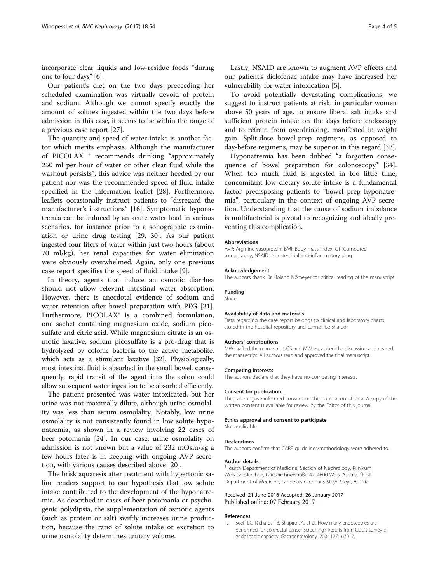<span id="page-3-0"></span>incorporate clear liquids and low-residue foods "during one to four days" [[6](#page-4-0)].

Our patient's diet on the two days preceeding her scheduled examination was virtually devoid of protein and sodium. Although we cannot specify exactly the amount of solutes ingested within the two days before admission in this case, it seems to be within the range of a previous case report [\[27\]](#page-4-0).

The quantity and speed of water intake is another factor which merits emphasis. Although the manufacturer of PICOLAX ® recommends drinking "approximately 250 ml per hour of water or other clear fluid while the washout persists", this advice was neither heeded by our patient nor was the recommended speed of fluid intake specified in the information leaflet [[28\]](#page-4-0). Furthermore, leaflets occasionally instruct patients to "disregard the manufacturer's instructions" [\[16](#page-4-0)]. Symptomatic hyponatremia can be induced by an acute water load in various scenarios, for instance prior to a sonographic examination or urine drug testing [\[29](#page-4-0), [30](#page-4-0)]. As our patient ingested four liters of water within just two hours (about 70 ml/kg), her renal capacities for water elimination were obviously overwhelmed. Again, only one previous case report specifies the speed of fluid intake [\[9](#page-4-0)].

In theory, agents that induce an osmotic diarrhea should not allow relevant intestinal water absorption. However, there is anecdotal evidence of sodium and water retention after bowel preparation with PEG [\[31](#page-4-0)]. Furthermore, PICOLAX® is a combined formulation, one sachet containing magnesium oxide, sodium picosulfate and citric acid. While magnesium citrate is an osmotic laxative, sodium picosulfate is a pro-drug that is hydrolyzed by colonic bacteria to the active metabolite, which acts as a stimulant laxative [\[32](#page-4-0)]. Physiologically, most intestinal fluid is absorbed in the small bowel, consequently, rapid transit of the agent into the colon could allow subsequent water ingestion to be absorbed efficiently.

The patient presented was water intoxicated, but her urine was not maximally dilute, although urine osmolality was less than serum osmolality. Notably, low urine osmolality is not consistently found in low solute hyponatremia, as shown in a review involving 22 cases of beer potomania [[24](#page-4-0)]. In our case, urine osmolality on admission is not known but a value of 232 mOsm/kg a few hours later is in keeping with ongoing AVP secretion, with various causes described above [\[20](#page-4-0)].

The brisk aquaresis after treatment with hypertonic saline renders support to our hypothesis that low solute intake contributed to the development of the hyponatremia. As described in cases of beer potomania or psychogenic polydipsia, the supplementation of osmotic agents (such as protein or salt) swiftly increases urine production, because the ratio of solute intake or excretion to urine osmolality determines urinary volume.

Lastly, NSAID are known to augment AVP effects and our patient's diclofenac intake may have increased her vulnerability for water intoxication [\[5\]](#page-4-0).

To avoid potentially devastating complications, we suggest to instruct patients at risk, in particular women above 50 years of age, to ensure liberal salt intake and sufficient protein intake on the days before endoscopy and to refrain from overdrinking, manifested in weight gain. Split-dose bowel-prep regimens, as opposed to day-before regimens, may be superior in this regard [\[33\]](#page-4-0).

Hyponatremia has been dubbed "a forgotten consequence of bowel preparation for colonoscopy" [\[34](#page-4-0)]. When too much fluid is ingested in too little time, concomitant low dietary solute intake is a fundamental factor predisposing patients to "bowel prep hyponatremia", particulary in the context of ongoing AVP secretion. Understanding that the cause of sodium imbalance is multifactorial is pivotal to recognizing and ideally preventing this complication.

#### Abbreviations

AVP: Arginine vasopressin; BMI: Body mass index; CT: Computed tomography; NSAID: Nonsteroidal anti-inflammatory drug

#### Acknowledgement

The authors thank Dr. Roland Nömeyer for critical reading of the manuscript.

## Funding

None.

#### Availability of data and materials

Data regarding the case report belongs to clinical and laboratory charts stored in the hospital repository and cannot be shared.

#### Authors' contributions

MW drafted the manuscript. CS and MW expanded the discussion and revised the manuscript. All authors read and approved the final manuscript.

#### Competing interests

The authors declare that they have no competing interests.

#### Consent for publication

The patient gave informed consent on the publication of data. A copy of the written consent is available for review by the Editor of this journal.

#### Ethics approval and consent to participate

Not applicable.

#### Declarations

The authors confirm that CARE guidelines/methodology were adhered to.

#### Author details

<sup>1</sup> Fourth Department of Medicine, Section of Nephrology, Klinikum Wels-Grieskirchen, Grieskirchnerstraße 42, 4600 Wels, Austria. <sup>2</sup>First Department of Medicine, Landeskrankenhaus Steyr, Steyr, Austria.

### Received: 21 June 2016 Accepted: 26 January 2017 Published online: 07 February 2017

#### References

Seeff LC, Richards TB, Shapiro JA, et al. How many endoscopies are performed for colorectal cancer screening? Results from CDC's survey of endoscopic capacity. Gastroenterology. 2004;127:1670–7.